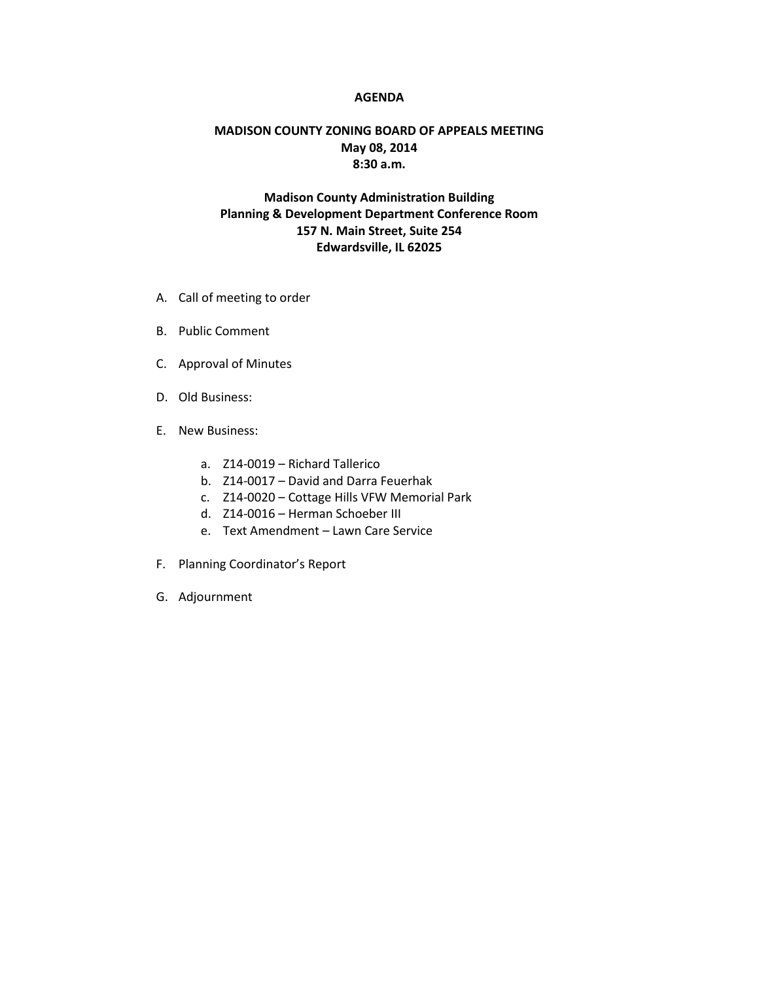## **AGENDA**

## **MADISON COUNTY ZONING BOARD OF APPEALS MEETING May 08, 2014 8:30 a.m.**

## **Madison County Administration Building Planning & Development Department Conference Room 157 N. Main Street, Suite 254 Edwardsville, IL 62025**

- A. Call of meeting to order
- B. Public Comment
- C. Approval of Minutes
- D. Old Business:
- E. New Business:
	- a. Z14-0019 Richard Tallerico
	- b. Z14-0017 David and Darra Feuerhak
	- c. Z14-0020 Cottage Hills VFW Memorial Park
	- d. Z14-0016 Herman Schoeber III
	- e. Text Amendment Lawn Care Service
- F. Planning Coordinator's Report
- G. Adjournment